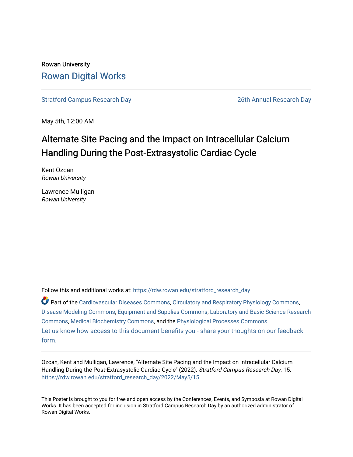#### Rowan University [Rowan Digital Works](https://rdw.rowan.edu/)

[Stratford Campus Research Day](https://rdw.rowan.edu/stratford_research_day) [26th Annual Research Day](https://rdw.rowan.edu/stratford_research_day/2022) 

May 5th, 12:00 AM

#### Alternate Site Pacing and the Impact on Intracellular Calcium Handling During the Post-Extrasystolic Cardiac Cycle

Kent Ozcan Rowan University

Lawrence Mulligan Rowan University

Follow this and additional works at: [https://rdw.rowan.edu/stratford\\_research\\_day](https://rdw.rowan.edu/stratford_research_day?utm_source=rdw.rowan.edu%2Fstratford_research_day%2F2022%2FMay5%2F15&utm_medium=PDF&utm_campaign=PDFCoverPages)

Part of the [Cardiovascular Diseases Commons](https://network.bepress.com/hgg/discipline/929?utm_source=rdw.rowan.edu%2Fstratford_research_day%2F2022%2FMay5%2F15&utm_medium=PDF&utm_campaign=PDFCoverPages), [Circulatory and Respiratory Physiology Commons,](https://network.bepress.com/hgg/discipline/947?utm_source=rdw.rowan.edu%2Fstratford_research_day%2F2022%2FMay5%2F15&utm_medium=PDF&utm_campaign=PDFCoverPages) [Disease Modeling Commons,](https://network.bepress.com/hgg/discipline/814?utm_source=rdw.rowan.edu%2Fstratford_research_day%2F2022%2FMay5%2F15&utm_medium=PDF&utm_campaign=PDFCoverPages) [Equipment and Supplies Commons,](https://network.bepress.com/hgg/discipline/944?utm_source=rdw.rowan.edu%2Fstratford_research_day%2F2022%2FMay5%2F15&utm_medium=PDF&utm_campaign=PDFCoverPages) [Laboratory and Basic Science Research](https://network.bepress.com/hgg/discipline/812?utm_source=rdw.rowan.edu%2Fstratford_research_day%2F2022%2FMay5%2F15&utm_medium=PDF&utm_campaign=PDFCoverPages)  [Commons](https://network.bepress.com/hgg/discipline/812?utm_source=rdw.rowan.edu%2Fstratford_research_day%2F2022%2FMay5%2F15&utm_medium=PDF&utm_campaign=PDFCoverPages), [Medical Biochemistry Commons](https://network.bepress.com/hgg/discipline/666?utm_source=rdw.rowan.edu%2Fstratford_research_day%2F2022%2FMay5%2F15&utm_medium=PDF&utm_campaign=PDFCoverPages), and the [Physiological Processes Commons](https://network.bepress.com/hgg/discipline/916?utm_source=rdw.rowan.edu%2Fstratford_research_day%2F2022%2FMay5%2F15&utm_medium=PDF&utm_campaign=PDFCoverPages)  [Let us know how access to this document benefits you - share your thoughts on our feedback](https://www.lib.rowan.edu/rdw-feedback?ref=https://rdw.rowan.edu/stratford_research_day/2022/May5/15) [form.](https://www.lib.rowan.edu/rdw-feedback?ref=https://rdw.rowan.edu/stratford_research_day/2022/May5/15)

Ozcan, Kent and Mulligan, Lawrence, "Alternate Site Pacing and the Impact on Intracellular Calcium Handling During the Post-Extrasystolic Cardiac Cycle" (2022). Stratford Campus Research Day. 15. [https://rdw.rowan.edu/stratford\\_research\\_day/2022/May5/15](https://rdw.rowan.edu/stratford_research_day/2022/May5/15?utm_source=rdw.rowan.edu%2Fstratford_research_day%2F2022%2FMay5%2F15&utm_medium=PDF&utm_campaign=PDFCoverPages) 

This Poster is brought to you for free and open access by the Conferences, Events, and Symposia at Rowan Digital Works. It has been accepted for inclusion in Stratford Campus Research Day by an authorized administrator of Rowan Digital Works.